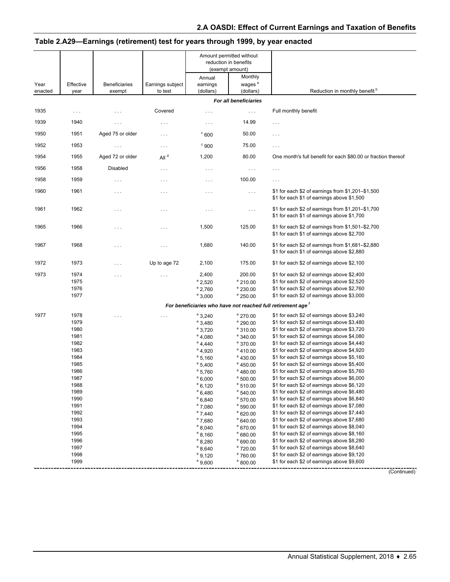|                 |                      |                                |                             | Amount permitted without<br>reduction in benefits<br>(exempt amount)             |                                            |                                                                                                 |
|-----------------|----------------------|--------------------------------|-----------------------------|----------------------------------------------------------------------------------|--------------------------------------------|-------------------------------------------------------------------------------------------------|
| Year<br>enacted | Effective<br>year    | <b>Beneficiaries</b><br>exempt | Earnings subject<br>to test | Annual<br>earnings<br>(dollars)                                                  | Monthly<br>wages <sup>a</sup><br>(dollars) | Reduction in monthly benefit <sup>b</sup>                                                       |
|                 |                      |                                |                             |                                                                                  | For all beneficiaries                      |                                                                                                 |
| 1935            | $\sim$ $\sim$ $\sim$ | $\cdots$                       | Covered                     | $\cdots$                                                                         | $\ldots$ .                                 | Full monthly benefit                                                                            |
| 1939            | 1940                 | $\ldots$                       | $\ldots$                    | $\cdots$                                                                         | 14.99                                      | $\ldots$                                                                                        |
| 1950            | 1951                 | Aged 75 or older               | $\ldots$                    | $^{\circ}$ 600                                                                   | 50.00                                      | $\cdots$                                                                                        |
| 1952            | 1953                 | $\cdots$                       | $\sim$ $\sim$ $\sim$        | $\degree$ 900                                                                    | 75.00                                      | $\ldots$                                                                                        |
| 1954            | 1955                 | Aged 72 or older               | All <sup>d</sup>            | 1,200                                                                            | 80.00                                      | One month's full benefit for each \$80.00 or fraction thereof                                   |
| 1956            | 1958                 | <b>Disabled</b>                | $\ldots$ .                  | $\sim$ $\sim$ $\sim$                                                             | $\sim$ $\sim$ $\sim$                       | $\sim$ $\sim$ $\sim$                                                                            |
| 1958            | 1959                 | $\cdots$                       | $\sim$ $\sim$ $\sim$        | $\cdots$                                                                         | 100.00                                     | $\sim$ $\sim$ $\sim$                                                                            |
| 1960            | 1961                 | $\ldots$                       | $\cdots$                    | $\cdots$                                                                         | $\sim$ $\sim$ $\sim$                       | \$1 for each \$2 of earnings from \$1,201-\$1,500<br>\$1 for each \$1 of earnings above \$1,500 |
| 1961            | 1962                 | $\cdots$                       | $\cdots$                    | $\cdots$                                                                         | $\ldots$                                   | \$1 for each \$2 of earnings from \$1,201-\$1,700<br>\$1 for each \$1 of earnings above \$1,700 |
| 1965            | 1966                 | $\cdots$                       | $\cdots$                    | 1,500                                                                            | 125.00                                     | \$1 for each \$2 of earnings from \$1,501-\$2,700<br>\$1 for each \$1 of earnings above \$2,700 |
| 1967            | 1968                 | $\sim$ $\sim$ $\sim$           | $\cdots$                    | 1,680                                                                            | 140.00                                     | \$1 for each \$2 of earnings from \$1,681-\$2,880<br>\$1 for each \$1 of earnings above \$2,880 |
| 1972            | 1973                 | $\cdots$                       | Up to age 72                | 2,100                                                                            | 175.00                                     | \$1 for each \$2 of earnings above \$2,100                                                      |
| 1973            | 1974                 | $\cdots$                       |                             | 2,400                                                                            | 200.00                                     | \$1 for each \$2 of earnings above \$2,400                                                      |
|                 | 1975                 |                                |                             | $^{\circ}$ 2,520                                                                 | $^{\circ}$ 210.00                          | \$1 for each \$2 of earnings above \$2,520                                                      |
|                 | 1976<br>1977         |                                |                             | $^{\circ}$ 2,760                                                                 | $^{\circ}$ 230.00                          | \$1 for each \$2 of earnings above \$2,760<br>\$1 for each \$2 of earnings above \$3,000        |
|                 |                      |                                |                             | $^{\circ}$ 3,000<br>For beneficiaries who have not reached full retirement age f | $^{\circ}$ 250.00                          |                                                                                                 |
|                 |                      |                                |                             |                                                                                  |                                            |                                                                                                 |
| 1977            | 1978<br>1979         | $\cdots$                       | $\ldots$                    | $^{\circ}$ 3,240                                                                 | $^{\circ}$ 270.00<br>$^{\circ}$ 290.00     | \$1 for each \$2 of earnings above \$3,240<br>\$1 for each \$2 of earnings above \$3,480        |
|                 | 1980                 |                                |                             | $^{\circ}$ 3,480<br>$^{\circ}$ 3,720                                             | $^{\circ}$ 310.00                          | \$1 for each \$2 of earnings above \$3,720                                                      |
|                 | 1981                 |                                |                             | $^{\circ}$ 4,080                                                                 | $^{\circ}$ 340.00                          | \$1 for each \$2 of earnings above \$4,080                                                      |
|                 | 1982                 |                                |                             | $^{\circ}$ 4,440                                                                 | $^{\circ}$ 370.00                          | \$1 for each \$2 of earnings above \$4,440                                                      |
|                 | 1983                 |                                |                             | $^{\circ}$ 4,920                                                                 | $^{\circ}$ 410.00                          | \$1 for each \$2 of earnings above \$4,920                                                      |
|                 | 1984                 |                                |                             | $^{\circ}$ 5,160                                                                 | $e$ 430.00                                 | \$1 for each \$2 of earnings above \$5,160                                                      |
|                 | 1985                 |                                |                             | $^{\circ}$ 5,400                                                                 | $^{\circ}$ 450.00                          | \$1 for each \$2 of earnings above \$5,400                                                      |
|                 | 1986                 |                                |                             | $^{\circ}$ 5,760                                                                 | $^{\circ}$ 480.00                          | \$1 for each \$2 of earnings above \$5,760                                                      |
|                 | 1987                 |                                |                             | $^{\circ}$ 6,000                                                                 | $^{\circ}$ 500.00                          | \$1 for each \$2 of earnings above \$6,000                                                      |
|                 | 1988<br>1989         |                                |                             | $^{\circ}$ 6,120                                                                 | $e$ 510.00                                 | \$1 for each \$2 of earnings above \$6,120                                                      |
|                 | 1990                 |                                |                             | $^{\circ}$ 6,480                                                                 | $^{\circ}$ 540.00                          | \$1 for each \$2 of earnings above \$6,480<br>\$1 for each \$2 of earnings above \$6,840        |
|                 | 1991                 |                                |                             | $^{\circ}$ 6,840<br>$^{\circ}$ 7,080                                             | $^{\circ}$ 570.00<br>$^{\circ}$ 590.00     | \$1 for each \$2 of earnings above \$7,080                                                      |
|                 | 1992                 |                                |                             | $^{\circ}$ 7,440                                                                 | $^{\circ}$ 620.00                          | \$1 for each \$2 of earnings above \$7,440                                                      |
|                 | 1993                 |                                |                             | $^{\circ}$ 7,680                                                                 | $^{\circ}$ 640.00                          | \$1 for each \$2 of earnings above \$7,680                                                      |
|                 | 1994                 |                                |                             | $^{\circ}$ 8,040                                                                 | $^{\circ}$ 670.00                          | \$1 for each \$2 of earnings above \$8,040                                                      |
|                 | 1995                 |                                |                             | $^{\circ}$ 8,160                                                                 | $^{\circ}$ 680.00                          | \$1 for each \$2 of earnings above \$8,160                                                      |
|                 | 1996                 |                                |                             | $^{\circ}$ 8,280                                                                 | ° 690.00                                   | \$1 for each \$2 of earnings above \$8,280                                                      |
|                 | 1997                 |                                |                             | $^{\circ}$ 8,640                                                                 | $^{\circ}$ 720.00                          | \$1 for each \$2 of earnings above \$8,640                                                      |
|                 | 1998                 |                                |                             | $^{\circ}$ 9,120                                                                 | $^{\circ}$ 760.00                          | \$1 for each \$2 of earnings above \$9,120                                                      |
|                 | 1999                 |                                |                             | $^{\circ}$ 9,600                                                                 | $^{\circ}$ 800.00                          | \$1 for each \$2 of earnings above \$9,600                                                      |

# **Table 2.A29—Earnings (retirement) test for years through 1999, by year enacted**

(Continued)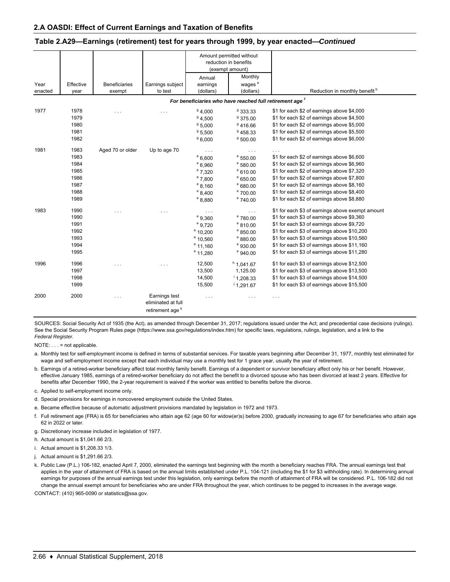|         |           |                      |                                                                    | Amount permitted without |                                                          |                                                  |
|---------|-----------|----------------------|--------------------------------------------------------------------|--------------------------|----------------------------------------------------------|--------------------------------------------------|
|         |           |                      |                                                                    | reduction in benefits    |                                                          |                                                  |
|         |           |                      |                                                                    |                          | (exempt amount)                                          |                                                  |
|         |           |                      |                                                                    | Annual                   | Monthly                                                  |                                                  |
| Year    | Effective | <b>Beneficiaries</b> | Earnings subject                                                   | earnings                 | wages <sup>a</sup>                                       |                                                  |
| enacted | year      | exempt               | to test                                                            | (dollars)                | (dollars)                                                | Reduction in monthly benefit <sup>b</sup>        |
|         |           |                      |                                                                    |                          | For beneficiaries who have reached full retirement age f |                                                  |
| 1977    | 1978      | $\cdots$             | $\cdots$                                                           | 94.000                   | 9333.33                                                  | \$1 for each \$2 of earnings above \$4,000       |
|         | 1979      |                      |                                                                    | 94.500                   | 9375.00                                                  | \$1 for each \$2 of earnings above \$4,500       |
|         | 1980      |                      |                                                                    | 95.000                   | 9416.66                                                  | \$1 for each \$2 of earnings above \$5,000       |
|         | 1981      |                      |                                                                    | 95,500                   | 9458.33                                                  | \$1 for each \$2 of earnings above \$5,500       |
|         | 1982      |                      |                                                                    | 96,000                   | 9500.00                                                  | \$1 for each \$2 of earnings above \$6,000       |
| 1981    | 1983      | Aged 70 or older     | Up to age 70                                                       | $\cdots$                 | $\cdots$                                                 |                                                  |
|         | 1983      |                      |                                                                    | $^{\circ}$ 6,600         | $^{\circ}$ 550.00                                        | \$1 for each \$2 of earnings above \$6,600       |
|         | 1984      |                      |                                                                    | $^{\circ}$ 6,960         | $^{\circ}$ 580.00                                        | \$1 for each \$2 of earnings above \$6,960       |
|         | 1985      |                      |                                                                    | $^{\circ}$ 7,320         | $^{\circ}$ 610.00                                        | \$1 for each \$2 of earnings above \$7,320       |
|         | 1986      |                      |                                                                    | $^{\circ}$ 7,800         | $e$ 650.00                                               | \$1 for each \$2 of earnings above \$7,800       |
|         | 1987      |                      |                                                                    | $^{\circ}$ 8,160         | $^{\circ}680.00$                                         | \$1 for each \$2 of earnings above \$8,160       |
|         | 1988      |                      |                                                                    | $^{\circ}$ 8,400         | $^{\circ}$ 700.00                                        | \$1 for each \$2 of earnings above \$8,400       |
|         | 1989      |                      |                                                                    | $^{\circ}$ 8,880         | $^{\circ}$ 740.00                                        | \$1 for each \$2 of earnings above \$8,880       |
| 1983    | 1990      | $\cdots$             | .                                                                  | $\cdots$                 | $\ldots$                                                 | \$1 for each \$3 of earnings above exempt amount |
|         | 1990      |                      |                                                                    | $e$ 9,360                | $^{\circ}$ 780.00                                        | \$1 for each \$3 of earnings above \$9,360       |
|         | 1991      |                      |                                                                    | $^{\circ}$ 9,720         | $e$ 810.00                                               | \$1 for each \$3 of earnings above \$9,720       |
|         | 1992      |                      |                                                                    | $^{\circ}$ 10,200        | $^{\circ}$ 850.00                                        | \$1 for each \$3 of earnings above \$10,200      |
|         | 1993      |                      |                                                                    | $^{\circ}$ 10,560        | $e$ 880.00                                               | \$1 for each \$3 of earnings above \$10,560      |
|         | 1994      |                      |                                                                    | $^{\circ}$ 11,160        | $e$ 930.00                                               | \$1 for each \$3 of earnings above \$11,160      |
|         | 1995      |                      |                                                                    | $^{\circ}$ 11,280        | $e$ 940.00                                               | \$1 for each \$3 of earnings above \$11,280      |
| 1996    | 1996      | $\cdots$             | .                                                                  | 12,500                   | <sup>h</sup> 1.041.67                                    | \$1 for each \$3 of earnings above \$12,500      |
|         | 1997      |                      |                                                                    | 13,500                   | 1,125.00                                                 | \$1 for each \$3 of earnings above \$13,500      |
|         | 1998      |                      |                                                                    | 14,500                   | 1,208.33                                                 | \$1 for each \$3 of earnings above \$14,500      |
|         | 1999      |                      |                                                                    | 15,500                   | 1.291.67                                                 | \$1 for each \$3 of earnings above \$15,500      |
| 2000    | 2000      | .                    | Earnings test<br>eliminated at full<br>retirement age <sup>k</sup> | $\cdots$                 | $\cdot$ $\cdot$ $\cdot$                                  | $\cdot$ $\cdot$ $\cdot$                          |

#### **Table 2.A29—Earnings (retirement) test for years through 1999, by year enacted—***Continued*

SOURCES: Social Security Act of 1935 (the Act), as amended through December 31, 2017; regulations issued under the Act; and precedential case decisions (rulings). See the Social Security Program Rules page (https://www.ssa.gov/regulations/index.htm) for specific laws, regulations, rulings, legislation, and a link to the *Federal Register.*

NOTE: . . . = not applicable.

a. Monthly test for self-employment income is defined in terms of substantial services. For taxable years beginning after December 31, 1977, monthly test eliminated for wage and self-employment income except that each individual may use a monthly test for 1 grace year, usually the year of retirement.

- b. Earnings of a retired-worker beneficiary affect total monthly family benefit. Earnings of a dependent or survivor beneficiary affect only his or her benefit. However, effective January 1985, earnings of a retired-worker beneficiary do not affect the benefit to a divorced spouse who has been divorced at least 2 years. Effective for benefits after December 1990, the 2-year requirement is waived if the worker was entitled to benefits before the divorce.
- c. Applied to self-employment income only.
- d. Special provisions for earnings in noncovered employment outside the United States.
- e. Became effective because of automatic adjustment provisions mandated by legislation in 1972 and 1973.
- f. Full retirement age (FRA) is 65 for beneficiaries who attain age 62 (age 60 for widow(er)s) before 2000, gradually increasing to age 67 for beneficiaries who attain age 62 in 2022 or later.
- g. Discretionary increase included in legislation of 1977.
- h. Actual amount is \$1,041.66 2/3.
- i. Actual amount is \$1,208.33 1/3.
- j. Actual amount is \$1,291.66 2/3.
- k. Public Law (P.L.) 106-182, enacted April 7, 2000, eliminated the earnings test beginning with the month a beneficiary reaches FRA. The annual earnings test that applies in the year of attainment of FRA is based on the annual limits established under P.L. 104-121 (including the \$1 for \$3 withholding rate). In determining annual earnings for purposes of the annual earnings test under this legislation, only earnings before the month of attainment of FRA will be considered. P.L. 106-182 did not change the annual exempt amount for beneficiaries who are under FRA throughout the year, which continues to be pegged to increases in the average wage.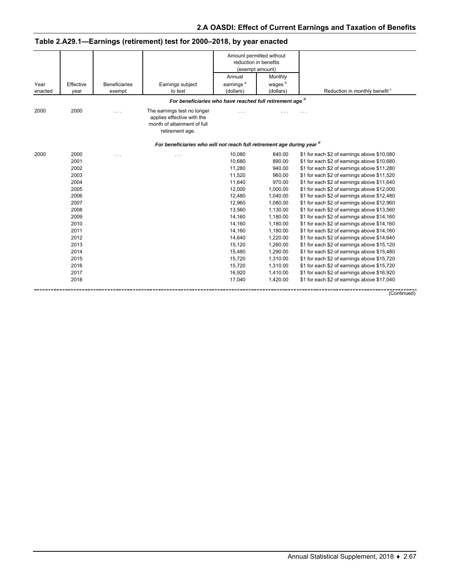| Amount permitted without<br>reduction in benefits<br>(exempt amount)<br>Monthly<br>Annual<br>earnings $^{\mathrm{a}}$<br>wages <sup>b</sup><br>Effective<br><b>Beneficiaries</b><br>Year<br>Earnings subject<br>Reduction in monthly benefit <sup>c</sup><br>(dollars)<br>to test<br>(dollars)<br>exempt<br>year<br>For beneficiaries who have reached full retirement age $d$<br>2000<br>The earnings test no longer<br>$\cdots$<br>applies effective with the<br>month of attainment of full<br>retirement age.<br>For beneficiaries who will not reach full retirement age during year d<br>2000<br>10,080<br>840.00<br>\$1 for each \$2 of earnings above \$10,080<br>$\sim$ $\sim$<br>$\cdots$<br>10,680<br>2001<br>890.00<br>\$1 for each \$2 of earnings above \$10,680<br>11,280<br>940.00<br>\$1 for each \$2 of earnings above \$11,280<br>2002<br>11,520<br>960.00<br>2003<br>\$1 for each \$2 of earnings above \$11,520<br>2004<br>11,640<br>970.00<br>\$1 for each \$2 of earnings above \$11,640<br>12,000<br>2005<br>1,000.00<br>\$1 for each \$2 of earnings above \$12,000<br>12,480<br>1,040.00<br>\$1 for each \$2 of earnings above \$12,480<br>2006<br>2007<br>12,960<br>1,080.00<br>\$1 for each \$2 of earnings above \$12,960<br>13,560<br>1,130.00<br>\$1 for each \$2 of earnings above \$13,560<br>2008<br>2009<br>14,160<br>1,180.00<br>\$1 for each \$2 of earnings above \$14,160<br>14,160<br>1,180.00<br>2010<br>\$1 for each \$2 of earnings above \$14,160<br>2011<br>14,160<br>1,180.00<br>\$1 for each \$2 of earnings above \$14,160<br>14,640<br>2012<br>1,220.00<br>\$1 for each \$2 of earnings above \$14,640<br>2013<br>15,120<br>1,260.00<br>\$1 for each \$2 of earnings above \$15,120<br>2014<br>15,480<br>1,290.00<br>\$1 for each \$2 of earnings above \$15,480<br>\$1 for each \$2 of earnings above \$15,720<br>2015<br>15,720<br>1,310.00<br>15,720<br>1,310.00<br>\$1 for each \$2 of earnings above \$15,720<br>2016<br>16,920<br>2017<br>1,410.00<br>\$1 for each \$2 of earnings above \$16,920<br>2018<br>17,040<br>1,420.00<br>\$1 for each \$2 of earnings above \$17,040 |         |  |  |  |
|---------------------------------------------------------------------------------------------------------------------------------------------------------------------------------------------------------------------------------------------------------------------------------------------------------------------------------------------------------------------------------------------------------------------------------------------------------------------------------------------------------------------------------------------------------------------------------------------------------------------------------------------------------------------------------------------------------------------------------------------------------------------------------------------------------------------------------------------------------------------------------------------------------------------------------------------------------------------------------------------------------------------------------------------------------------------------------------------------------------------------------------------------------------------------------------------------------------------------------------------------------------------------------------------------------------------------------------------------------------------------------------------------------------------------------------------------------------------------------------------------------------------------------------------------------------------------------------------------------------------------------------------------------------------------------------------------------------------------------------------------------------------------------------------------------------------------------------------------------------------------------------------------------------------------------------------------------------------------------------------------------------------------------------------------------------------------------------------------------------------------------------|---------|--|--|--|
|                                                                                                                                                                                                                                                                                                                                                                                                                                                                                                                                                                                                                                                                                                                                                                                                                                                                                                                                                                                                                                                                                                                                                                                                                                                                                                                                                                                                                                                                                                                                                                                                                                                                                                                                                                                                                                                                                                                                                                                                                                                                                                                                       |         |  |  |  |
|                                                                                                                                                                                                                                                                                                                                                                                                                                                                                                                                                                                                                                                                                                                                                                                                                                                                                                                                                                                                                                                                                                                                                                                                                                                                                                                                                                                                                                                                                                                                                                                                                                                                                                                                                                                                                                                                                                                                                                                                                                                                                                                                       |         |  |  |  |
|                                                                                                                                                                                                                                                                                                                                                                                                                                                                                                                                                                                                                                                                                                                                                                                                                                                                                                                                                                                                                                                                                                                                                                                                                                                                                                                                                                                                                                                                                                                                                                                                                                                                                                                                                                                                                                                                                                                                                                                                                                                                                                                                       |         |  |  |  |
|                                                                                                                                                                                                                                                                                                                                                                                                                                                                                                                                                                                                                                                                                                                                                                                                                                                                                                                                                                                                                                                                                                                                                                                                                                                                                                                                                                                                                                                                                                                                                                                                                                                                                                                                                                                                                                                                                                                                                                                                                                                                                                                                       | enacted |  |  |  |
|                                                                                                                                                                                                                                                                                                                                                                                                                                                                                                                                                                                                                                                                                                                                                                                                                                                                                                                                                                                                                                                                                                                                                                                                                                                                                                                                                                                                                                                                                                                                                                                                                                                                                                                                                                                                                                                                                                                                                                                                                                                                                                                                       |         |  |  |  |
|                                                                                                                                                                                                                                                                                                                                                                                                                                                                                                                                                                                                                                                                                                                                                                                                                                                                                                                                                                                                                                                                                                                                                                                                                                                                                                                                                                                                                                                                                                                                                                                                                                                                                                                                                                                                                                                                                                                                                                                                                                                                                                                                       | 2000    |  |  |  |
|                                                                                                                                                                                                                                                                                                                                                                                                                                                                                                                                                                                                                                                                                                                                                                                                                                                                                                                                                                                                                                                                                                                                                                                                                                                                                                                                                                                                                                                                                                                                                                                                                                                                                                                                                                                                                                                                                                                                                                                                                                                                                                                                       |         |  |  |  |
|                                                                                                                                                                                                                                                                                                                                                                                                                                                                                                                                                                                                                                                                                                                                                                                                                                                                                                                                                                                                                                                                                                                                                                                                                                                                                                                                                                                                                                                                                                                                                                                                                                                                                                                                                                                                                                                                                                                                                                                                                                                                                                                                       | 2000    |  |  |  |
|                                                                                                                                                                                                                                                                                                                                                                                                                                                                                                                                                                                                                                                                                                                                                                                                                                                                                                                                                                                                                                                                                                                                                                                                                                                                                                                                                                                                                                                                                                                                                                                                                                                                                                                                                                                                                                                                                                                                                                                                                                                                                                                                       |         |  |  |  |
|                                                                                                                                                                                                                                                                                                                                                                                                                                                                                                                                                                                                                                                                                                                                                                                                                                                                                                                                                                                                                                                                                                                                                                                                                                                                                                                                                                                                                                                                                                                                                                                                                                                                                                                                                                                                                                                                                                                                                                                                                                                                                                                                       |         |  |  |  |
|                                                                                                                                                                                                                                                                                                                                                                                                                                                                                                                                                                                                                                                                                                                                                                                                                                                                                                                                                                                                                                                                                                                                                                                                                                                                                                                                                                                                                                                                                                                                                                                                                                                                                                                                                                                                                                                                                                                                                                                                                                                                                                                                       |         |  |  |  |
|                                                                                                                                                                                                                                                                                                                                                                                                                                                                                                                                                                                                                                                                                                                                                                                                                                                                                                                                                                                                                                                                                                                                                                                                                                                                                                                                                                                                                                                                                                                                                                                                                                                                                                                                                                                                                                                                                                                                                                                                                                                                                                                                       |         |  |  |  |
|                                                                                                                                                                                                                                                                                                                                                                                                                                                                                                                                                                                                                                                                                                                                                                                                                                                                                                                                                                                                                                                                                                                                                                                                                                                                                                                                                                                                                                                                                                                                                                                                                                                                                                                                                                                                                                                                                                                                                                                                                                                                                                                                       |         |  |  |  |
|                                                                                                                                                                                                                                                                                                                                                                                                                                                                                                                                                                                                                                                                                                                                                                                                                                                                                                                                                                                                                                                                                                                                                                                                                                                                                                                                                                                                                                                                                                                                                                                                                                                                                                                                                                                                                                                                                                                                                                                                                                                                                                                                       |         |  |  |  |
|                                                                                                                                                                                                                                                                                                                                                                                                                                                                                                                                                                                                                                                                                                                                                                                                                                                                                                                                                                                                                                                                                                                                                                                                                                                                                                                                                                                                                                                                                                                                                                                                                                                                                                                                                                                                                                                                                                                                                                                                                                                                                                                                       |         |  |  |  |
|                                                                                                                                                                                                                                                                                                                                                                                                                                                                                                                                                                                                                                                                                                                                                                                                                                                                                                                                                                                                                                                                                                                                                                                                                                                                                                                                                                                                                                                                                                                                                                                                                                                                                                                                                                                                                                                                                                                                                                                                                                                                                                                                       |         |  |  |  |
|                                                                                                                                                                                                                                                                                                                                                                                                                                                                                                                                                                                                                                                                                                                                                                                                                                                                                                                                                                                                                                                                                                                                                                                                                                                                                                                                                                                                                                                                                                                                                                                                                                                                                                                                                                                                                                                                                                                                                                                                                                                                                                                                       |         |  |  |  |
|                                                                                                                                                                                                                                                                                                                                                                                                                                                                                                                                                                                                                                                                                                                                                                                                                                                                                                                                                                                                                                                                                                                                                                                                                                                                                                                                                                                                                                                                                                                                                                                                                                                                                                                                                                                                                                                                                                                                                                                                                                                                                                                                       |         |  |  |  |
|                                                                                                                                                                                                                                                                                                                                                                                                                                                                                                                                                                                                                                                                                                                                                                                                                                                                                                                                                                                                                                                                                                                                                                                                                                                                                                                                                                                                                                                                                                                                                                                                                                                                                                                                                                                                                                                                                                                                                                                                                                                                                                                                       |         |  |  |  |
|                                                                                                                                                                                                                                                                                                                                                                                                                                                                                                                                                                                                                                                                                                                                                                                                                                                                                                                                                                                                                                                                                                                                                                                                                                                                                                                                                                                                                                                                                                                                                                                                                                                                                                                                                                                                                                                                                                                                                                                                                                                                                                                                       |         |  |  |  |
|                                                                                                                                                                                                                                                                                                                                                                                                                                                                                                                                                                                                                                                                                                                                                                                                                                                                                                                                                                                                                                                                                                                                                                                                                                                                                                                                                                                                                                                                                                                                                                                                                                                                                                                                                                                                                                                                                                                                                                                                                                                                                                                                       |         |  |  |  |
|                                                                                                                                                                                                                                                                                                                                                                                                                                                                                                                                                                                                                                                                                                                                                                                                                                                                                                                                                                                                                                                                                                                                                                                                                                                                                                                                                                                                                                                                                                                                                                                                                                                                                                                                                                                                                                                                                                                                                                                                                                                                                                                                       |         |  |  |  |
|                                                                                                                                                                                                                                                                                                                                                                                                                                                                                                                                                                                                                                                                                                                                                                                                                                                                                                                                                                                                                                                                                                                                                                                                                                                                                                                                                                                                                                                                                                                                                                                                                                                                                                                                                                                                                                                                                                                                                                                                                                                                                                                                       |         |  |  |  |
|                                                                                                                                                                                                                                                                                                                                                                                                                                                                                                                                                                                                                                                                                                                                                                                                                                                                                                                                                                                                                                                                                                                                                                                                                                                                                                                                                                                                                                                                                                                                                                                                                                                                                                                                                                                                                                                                                                                                                                                                                                                                                                                                       |         |  |  |  |
|                                                                                                                                                                                                                                                                                                                                                                                                                                                                                                                                                                                                                                                                                                                                                                                                                                                                                                                                                                                                                                                                                                                                                                                                                                                                                                                                                                                                                                                                                                                                                                                                                                                                                                                                                                                                                                                                                                                                                                                                                                                                                                                                       |         |  |  |  |
|                                                                                                                                                                                                                                                                                                                                                                                                                                                                                                                                                                                                                                                                                                                                                                                                                                                                                                                                                                                                                                                                                                                                                                                                                                                                                                                                                                                                                                                                                                                                                                                                                                                                                                                                                                                                                                                                                                                                                                                                                                                                                                                                       |         |  |  |  |

**Table 2.A29.1—Earnings (retirement) test for 2000–2018, by year enacted**

(Continued)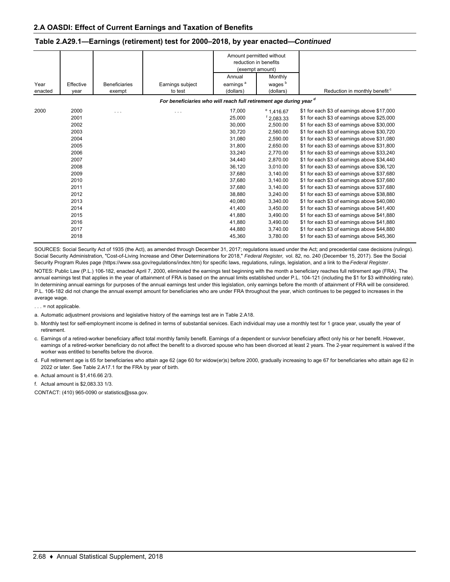|         |           |                      |                                                                    |                       | Amount permitted without<br>reduction in benefits<br>(exempt amount) |                                             |
|---------|-----------|----------------------|--------------------------------------------------------------------|-----------------------|----------------------------------------------------------------------|---------------------------------------------|
|         |           |                      |                                                                    | Annual                | Monthly                                                              |                                             |
| Year    | Effective | <b>Beneficiaries</b> | Earnings subject                                                   | earnings <sup>a</sup> | wages <sup>b</sup>                                                   |                                             |
| enacted | year      | exempt               | to test                                                            | (dollars)             | (dollars)                                                            | Reduction in monthly benefit <sup>c</sup>   |
|         |           |                      | For beneficiaries who will reach full retirement age during year d |                       |                                                                      |                                             |
| 2000    | 2000      | $\cdots$             | $\cdots$                                                           | 17,000                | $^{\circ}$ 1,416.67                                                  | \$1 for each \$3 of earnings above \$17,000 |
|         | 2001      |                      |                                                                    | 25,000                | $f$ 2,083.33                                                         | \$1 for each \$3 of earnings above \$25,000 |
|         | 2002      |                      |                                                                    | 30.000                | 2.500.00                                                             | \$1 for each \$3 of earnings above \$30,000 |
|         | 2003      |                      |                                                                    | 30,720                | 2,560.00                                                             | \$1 for each \$3 of earnings above \$30,720 |
|         | 2004      |                      |                                                                    | 31,080                | 2,590.00                                                             | \$1 for each \$3 of earnings above \$31,080 |
|         | 2005      |                      |                                                                    | 31,800                | 2,650.00                                                             | \$1 for each \$3 of earnings above \$31,800 |
|         | 2006      |                      |                                                                    | 33,240                | 2,770.00                                                             | \$1 for each \$3 of earnings above \$33,240 |
|         | 2007      |                      |                                                                    | 34,440                | 2,870.00                                                             | \$1 for each \$3 of earnings above \$34,440 |
|         | 2008      |                      |                                                                    | 36,120                | 3.010.00                                                             | \$1 for each \$3 of earnings above \$36,120 |
|         | 2009      |                      |                                                                    | 37,680                | 3,140.00                                                             | \$1 for each \$3 of earnings above \$37,680 |
|         | 2010      |                      |                                                                    | 37,680                | 3,140.00                                                             | \$1 for each \$3 of earnings above \$37,680 |
|         | 2011      |                      |                                                                    | 37,680                | 3,140.00                                                             | \$1 for each \$3 of earnings above \$37,680 |
|         | 2012      |                      |                                                                    | 38,880                | 3,240.00                                                             | \$1 for each \$3 of earnings above \$38,880 |
|         | 2013      |                      |                                                                    | 40.080                | 3,340.00                                                             | \$1 for each \$3 of earnings above \$40,080 |
|         | 2014      |                      |                                                                    | 41,400                | 3,450.00                                                             | \$1 for each \$3 of earnings above \$41,400 |
|         | 2015      |                      |                                                                    | 41,880                | 3,490.00                                                             | \$1 for each \$3 of earnings above \$41,880 |
|         | 2016      |                      |                                                                    | 41,880                | 3,490.00                                                             | \$1 for each \$3 of earnings above \$41,880 |
|         | 2017      |                      |                                                                    | 44,880                | 3,740.00                                                             | \$1 for each \$3 of earnings above \$44,880 |
|         | 2018      |                      |                                                                    | 45,360                | 3,780.00                                                             | \$1 for each \$3 of earnings above \$45,360 |

### **Table 2.A29.1—Earnings (retirement) test for 2000–2018, by year enacted—***Continued*

SOURCES: Social Security Act of 1935 (the Act), as amended through December 31, 2017; regulations issued under the Act; and precedential case decisions (rulings). Social Security Administration, "Cost-of-Living Increase and Other Determinations for 2018," *Federal Register,* vol. 82, no. 240 (December 15, 2017). See the Social Security Program Rules page (https://www.ssa.gov/regulations/index.htm) for specific laws, regulations, rulings, legislation, and a link to the *Federal Register*.

NOTES: Public Law (P.L.) 106-182, enacted April 7, 2000, eliminated the earnings test beginning with the month a beneficiary reaches full retirement age (FRA). The annual earnings test that applies in the year of attainment of FRA is based on the annual limits established under P.L. 104-121 (including the \$1 for \$3 withholding rate). In determining annual earnings for purposes of the annual earnings test under this legislation, only earnings before the month of attainment of FRA will be considered. P.L. 106-182 did not change the annual exempt amount for beneficiaries who are under FRA throughout the year, which continues to be pegged to increases in the average wage.

. . . = not applicable.

a. Automatic adjustment provisions and legislative history of the earnings test are in Table 2.A18.

b. Monthly test for self-employment income is defined in terms of substantial services. Each individual may use a monthly test for 1 grace year, usually the year of retirement.

c. Earnings of a retired-worker beneficiary affect total monthly family benefit. Earnings of a dependent or survivor beneficiary affect only his or her benefit. However, earnings of a retired-worker beneficiary do not affect the benefit to a divorced spouse who has been divorced at least 2 years. The 2-year requirement is waived if the worker was entitled to benefits before the divorce.

d. Full retirement age is 65 for beneficiaries who attain age 62 (age 60 for widow(er)s) before 2000, gradually increasing to age 67 for beneficiaries who attain age 62 in 2022 or later. See Table 2.A17.1 for the FRA by year of birth.

e. Actual amount is \$1,416.66 2/3.

f. Actual amount is \$2,083.33 1/3.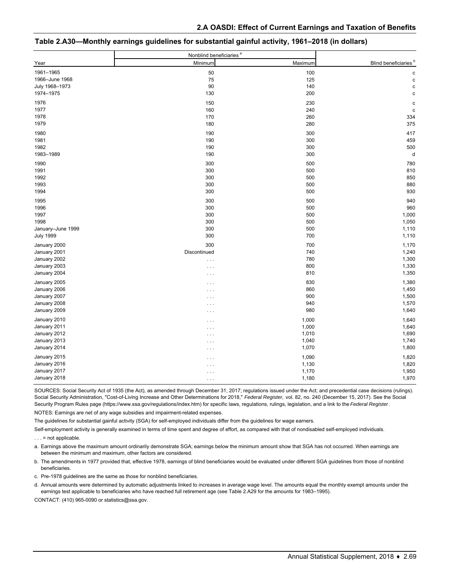|                   | Nonblind beneficiaries <sup>a</sup> |         |                                  |
|-------------------|-------------------------------------|---------|----------------------------------|
| Year              | Minimum                             | Maximum | Blind beneficiaries <sup>b</sup> |
| 1961-1965         | 50                                  | 100     | C                                |
| 1966-June 1968    | 75                                  | 125     | c                                |
| July 1968-1973    | 90                                  | 140     | c                                |
| 1974-1975         | 130                                 | 200     | C                                |
| 1976              | 150                                 | 230     | c                                |
| 1977              | 160                                 | 240     | c                                |
| 1978              | 170                                 | 260     | 334                              |
| 1979              | 180                                 | 280     | 375                              |
| 1980              | 190                                 | 300     | 417                              |
| 1981              | 190                                 | 300     | 459                              |
| 1982              | 190                                 | 300     | 500                              |
| 1983-1989         | 190                                 | 300     | d                                |
| 1990              | 300                                 | 500     | 780                              |
| 1991              | 300                                 | 500     | 810                              |
| 1992              | 300                                 | 500     | 850                              |
| 1993              | 300                                 | 500     | 880                              |
| 1994              | 300                                 | 500     | 930                              |
| 1995              | 300                                 | 500     | 940                              |
| 1996              | 300                                 | 500     | 960                              |
| 1997              | 300                                 | 500     | 1,000                            |
| 1998              | 300                                 | 500     | 1,050                            |
| January-June 1999 | 300                                 | 500     | 1,110                            |
| <b>July 1999</b>  | 300                                 | 700     | 1,110                            |
| January 2000      | 300                                 | 700     | 1,170                            |
| January 2001      | Discontinued                        | 740     | 1,240                            |
| January 2002      | $\cdots$                            | 780     | 1,300                            |
| January 2003      | $\cdots$                            | 800     | 1,330                            |
| January 2004      | $\cdots$                            | 810     | 1,350                            |
| January 2005      | $\cdots$                            | 830     | 1,380                            |
| January 2006      | $\cdots$                            | 860     | 1,450                            |
| January 2007      | $\cdots$                            | 900     | 1,500                            |
| January 2008      | $\cdots$                            | 940     | 1,570                            |
| January 2009      | $\cdots$                            | 980     | 1,640                            |
| January 2010      | $\cdots$                            | 1,000   | 1,640                            |
| January 2011      | $\cdots$                            | 1,000   | 1,640                            |
| January 2012      | $\cdots$                            | 1,010   | 1,690                            |
| January 2013      | $\cdots$                            | 1,040   | 1,740                            |
| January 2014      | $\cdots$                            | 1,070   | 1,800                            |
| January 2015      | $\cdots$                            | 1,090   | 1,820                            |
| January 2016      | $\cdots$                            | 1,130   | 1,820                            |
| January 2017      | $\cdots$                            | 1,170   | 1,950                            |
| January 2018      | $\cdots$                            | 1,180   | 1,970                            |

| Table 2.A30—Monthly earnings guidelines for substantial gainful activity, 1961–2018 (in dollars) |
|--------------------------------------------------------------------------------------------------|
|--------------------------------------------------------------------------------------------------|

SOURCES: Social Security Act of 1935 (the Act), as amended through December 31, 2017; regulations issued under the Act; and precedential case decisions (rulings). Social Security Administration, "Cost-of-Living Increase and Other Determinations for 2018," *Federal Register,* vol. 82, no. 240 (December 15, 2017). See the Social Security Program Rules page (https://www.ssa.gov/regulations/index.htm) for specific laws, regulations, rulings, legislation, and a link to the *Federal Register*.

NOTES: Earnings are net of any wage subsidies and impairment-related expenses.

The guidelines for substantial gainful activity (SGA) for self-employed individuals differ from the guidelines for wage earners.

Self-employment activity is generally examined in terms of time spent and degree of effort, as compared with that of nondisabled self-employed individuals.

 $\ldots$  = not applicable.

a. Earnings above the maximum amount ordinarily demonstrate SGA; earnings below the minimum amount show that SGA has not occurred. When earnings are between the minimum and maximum, other factors are considered.

b. The amendments in 1977 provided that, effective 1978, earnings of blind beneficiaries would be evaluated under different SGA guidelines from those of nonblind beneficiaries.

c. Pre-1978 guidelines are the same as those for nonblind beneficiaries.

d. Annual amounts were determined by automatic adjustments linked to increases in average wage level. The amounts equal the monthly exempt amounts under the earnings test applicable to beneficiaries who have reached full retirement age (see Table 2.A29 for the amounts for 1983–1995).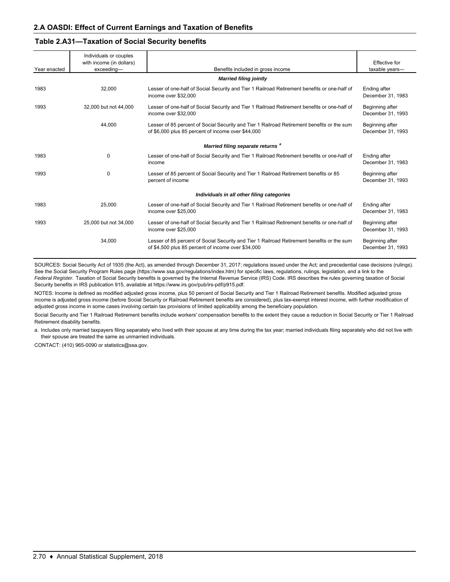## **Table 2.A31—Taxation of Social Security benefits**

|              | Individuals or couples<br>with income (in dollars) |                                                                                                                                                  | <b>Effective</b> for                 |
|--------------|----------------------------------------------------|--------------------------------------------------------------------------------------------------------------------------------------------------|--------------------------------------|
| Year enacted | exceeding-                                         | Benefits included in gross income                                                                                                                | taxable years-                       |
|              |                                                    | <b>Married filing jointly</b>                                                                                                                    |                                      |
| 1983         | 32,000                                             | Lesser of one-half of Social Security and Tier 1 Railroad Retirement benefits or one-half of<br>income over \$32,000                             | Ending after<br>December 31, 1983    |
| 1993         | 32,000 but not 44,000                              | Lesser of one-half of Social Security and Tier 1 Railroad Retirement benefits or one-half of<br>income over \$32,000                             | Beginning after<br>December 31, 1993 |
|              | 44.000                                             | Lesser of 85 percent of Social Security and Tier 1 Railroad Retirement benefits or the sum<br>of \$6,000 plus 85 percent of income over \$44,000 | Beginning after<br>December 31, 1993 |
|              |                                                    | Married filing separate returns <sup>a</sup>                                                                                                     |                                      |
| 1983         | $\mathbf 0$                                        | Lesser of one-half of Social Security and Tier 1 Railroad Retirement benefits or one-half of<br>income                                           | Ending after<br>December 31, 1983    |
| 1993         | 0                                                  | Lesser of 85 percent of Social Security and Tier 1 Railroad Retirement benefits or 85<br>percent of income                                       | Beginning after<br>December 31, 1993 |
|              |                                                    | Individuals in all other filing categories                                                                                                       |                                      |
| 1983         | 25,000                                             | Lesser of one-half of Social Security and Tier 1 Railroad Retirement benefits or one-half of<br>income over \$25,000                             | Ending after<br>December 31, 1983    |
| 1993         | 25,000 but not 34,000                              | Lesser of one-half of Social Security and Tier 1 Railroad Retirement benefits or one-half of<br>income over \$25,000                             | Beginning after<br>December 31, 1993 |
|              | 34,000                                             | Lesser of 85 percent of Social Security and Tier 1 Railroad Retirement benefits or the sum<br>of \$4,500 plus 85 percent of income over \$34,000 | Beginning after<br>December 31, 1993 |

SOURCES: Social Security Act of 1935 (the Act), as amended through December 31, 2017; regulations issued under the Act; and precedential case decisions (rulings). See the Social Security Program Rules page (https://www.ssa.gov/regulations/index.htm) for specific laws, regulations, rulings, legislation, and a link to the *Federal Register.* Taxation of Social Security benefits is governed by the Internal Revenue Service (IRS) Code. IRS describes the rules governing taxation of Social Security benefits in IRS publication 915, available at https://www.irs.gov/pub/irs-pdf/p915.pdf.

NOTES: Income is defined as modified adjusted gross income, plus 50 percent of Social Security and Tier 1 Railroad Retirement benefits. Modified adjusted gross income is adjusted gross income (before Social Security or Railroad Retirement benefits are considered), plus tax-exempt interest income, with further modification of adjusted gross income in some cases involving certain tax provisions of limited applicability among the beneficiary population.

Social Security and Tier 1 Railroad Retirement benefits include workers' compensation benefits to the extent they cause a reduction in Social Security or Tier 1 Railroad Retirement disability benefits.

a. Includes only married taxpayers filing separately who lived with their spouse at any time during the tax year; married individuals filing separately who did not live with their spouse are treated the same as unmarried individuals.